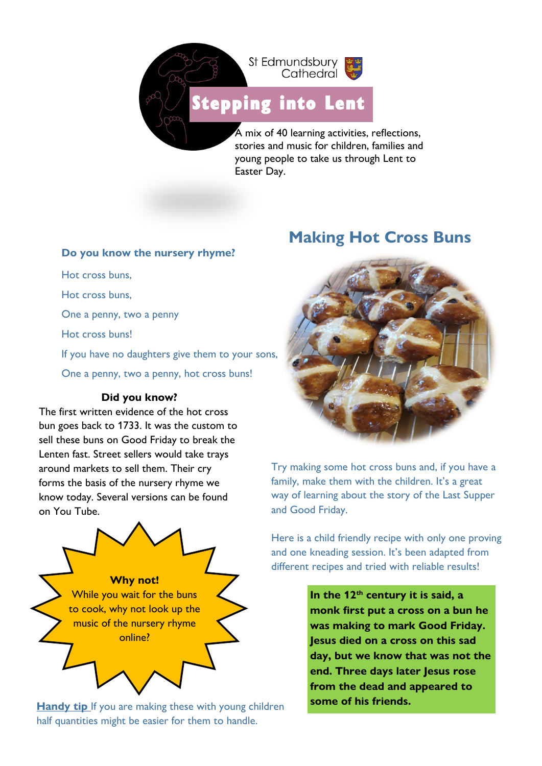

[Stepping i](https://www.google.co.uk/url?sa=i&url=http%3A%2F%2Fclipart-library.com%2Fprintable-footprints.html&psig=AOvVaw1XtmcUV1Dh0SIC0cZJDSmi&ust=1611238414423000&source=images&cd=vfe&ved=0CAIQjRxqFwoTCNiL8PzYqu4CFQAAAAAdAAAAABAE)nto Lent

A mix of 40 learning activities, reflections, stories and music for children, families and young people to take us through Lent to Easter Day.

#### **Do you know the nursery rhyme?**

Hot cross buns, Hot cross buns, One a penny, two a penny Hot cross buns! If you have no daughters give them to your sons, One a penny, two a penny, hot cross buns! **Did you know?** The first written evidence of the hot cross bun goes back to 1733. It was the custom to

sell these buns on Good Friday to break the Lenten fast. Street sellers would take trays around markets to sell them. Their cry forms the basis of the nursery rhyme we know today. Several versions can be found on You Tube.



**Handy tip** If you are making these with young children half quantities might be easier for them to handle.

# **Making Hot Cross Buns**



Try making some hot cross buns and, if you have a family, make them with the children. It's a great way of learning about the story of the Last Supper and Good Friday.

Here is a child friendly recipe with only one proving and one kneading session. It's been adapted from different recipes and tried with reliable results!

> **In the 12th century it is said, a monk first put a cross on a bun he was making to mark Good Friday. Jesus died on a cross on this sad day, but we know that was not the end. Three days later Jesus rose from the dead and appeared to some of his friends.**